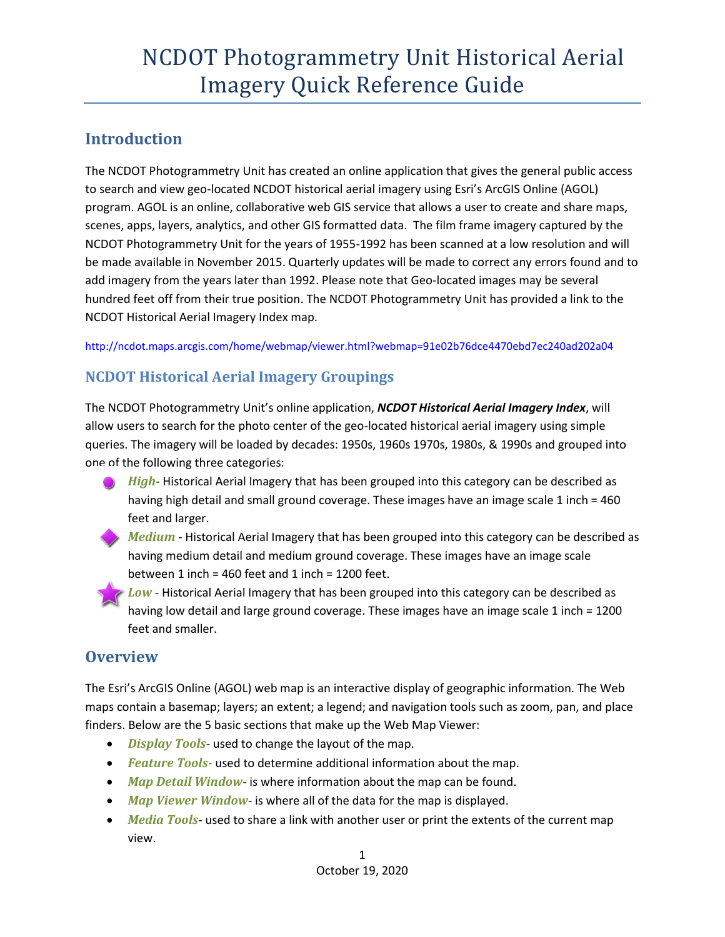## **Introduction**

The NCDOT Photogrammetry Unit has created an online application that gives the general public access to search and view geo-located NCDOT historical aerial imagery using Esri's ArcGIS Online (AGOL) program. AGOL is an online, collaborative web GIS service that allows a user to create and share maps, scenes, apps, layers, analytics, and other GIS formatted data. The film frame imagery captured by the NCDOT Photogrammetry Unit for the years of 1955-1992 has been scanned at a low resolution and will be made available in November 2015. Quarterly updates will be made to correct any errors found and to add imagery from the years later than 1992. Please note that Geo-located images may be several hundred feet off from their true position. The NCDOT Photogrammetry Unit has provided a link to the NCDOT Historical Aerial Imagery Index map.

<http://ncdot.maps.arcgis.com/home/webmap/viewer.html?webmap=91e02b76dce4470ebd7ec240ad202a04>

## **NCDOT Historical Aerial Imagery Groupings**

The NCDOT Photogrammetry Unit's online application, *NCDOT Historical Aerial Imagery Index*, will allow users to search for the photo center of the geo-located historical aerial imagery using simple queries. The imagery will be loaded by decades: 1950s, 1960s 1970s, 1980s, & 1990s and grouped into one of the following three categories:

- *High* Historical Aerial Imagery that has been grouped into this category can be described as having high detail and small ground coverage. These images have an image scale 1 inch = 460 feet and larger.
- *Medium* Historical Aerial Imagery that has been grouped into this category can be described as having medium detail and medium ground coverage. These images have an image scale between  $1$  inch = 460 feet and  $1$  inch = 1200 feet.
- *Low* Historical Aerial Imagery that has been grouped into this category can be described as having low detail and large ground coverage. These images have an image scale 1 inch = 1200 feet and smaller.

## **Overview**

The Esri's ArcGIS Online (AGOL) web map is an interactive display of geographic information. The Web maps contain a basemap; layers; an extent; a legend; and navigation tools such as zoom, pan, and place finders. Below are the 5 basic sections that make up the Web Map Viewer:

- *Display Tools* used to change the layout of the map.
- *Feature Tools-* used to determine additional information about the map.
- *Map Detail Window* is where information about the map can be found.
- *Map Viewer Window* is where all of the data for the map is displayed.
- *Media Tools* used to share a link with another user or print the extents of the current map view.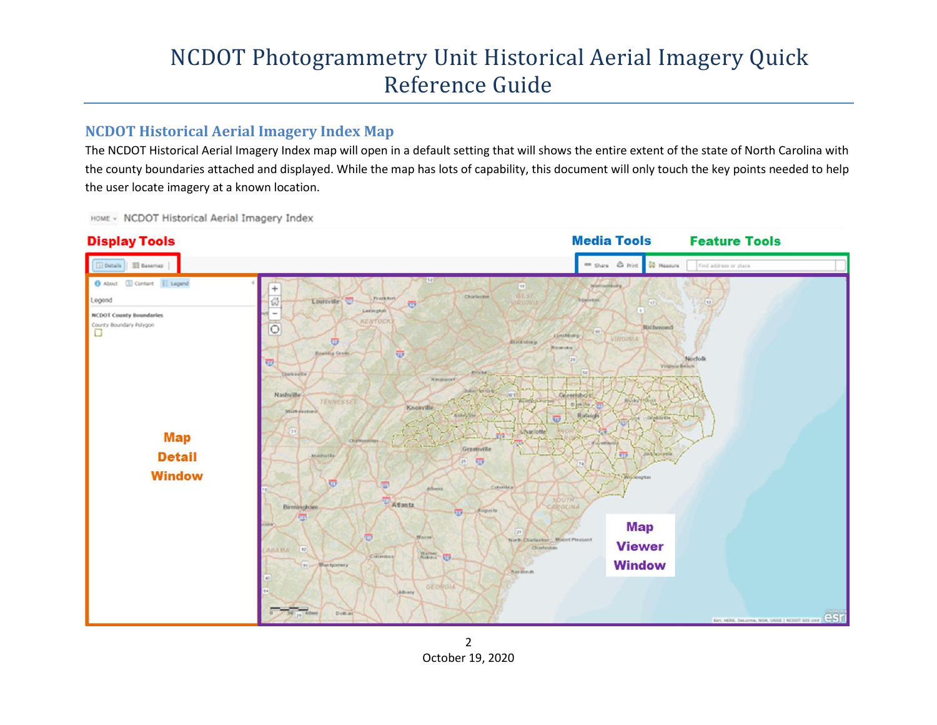### **NCDOT Historical Aerial Imagery Index Map**

The NCDOT Historical Aerial Imagery Index map will open in a default setting that will shows the entire extent of the state of North Carolina with the county boundaries attached and displayed. While the map has lots of capability, this document will only touch the key points needed to help the user locate imagery at a known location.

HOME - NCDOT Historical Aerial Imagery Index

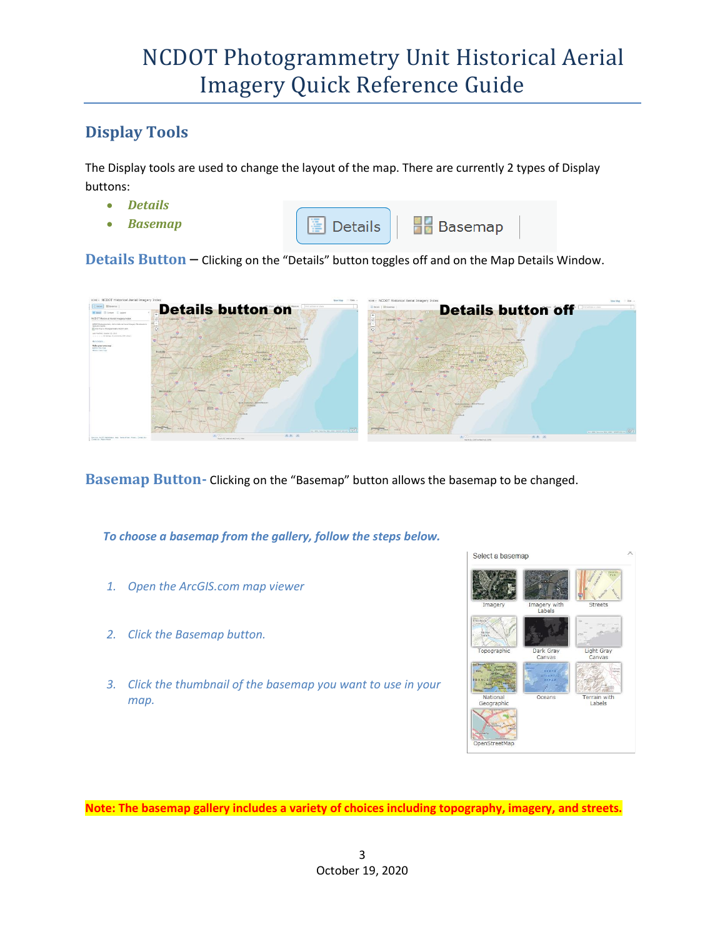## **Display Tools**

The Display tools are used to change the layout of the map. There are currently 2 types of Display buttons:

- *Details*
- *Basemap*



**Details Button** – Clicking on the "Details" button toggles off and on the Map Details Window.



**Basemap Button-** Clicking on the "Basemap" button allows the basemap to be changed.

*To choose a basemap from the gallery, follow the steps below.* 

- *1. Open the ArcGIS.com map viewer*
- *2. Click the Basemap button.*
- *3. Click the thumbnail of the basemap you want to use in your map.*



**Note: The basemap gallery includes a variety of choices including topography, imagery, and streets.**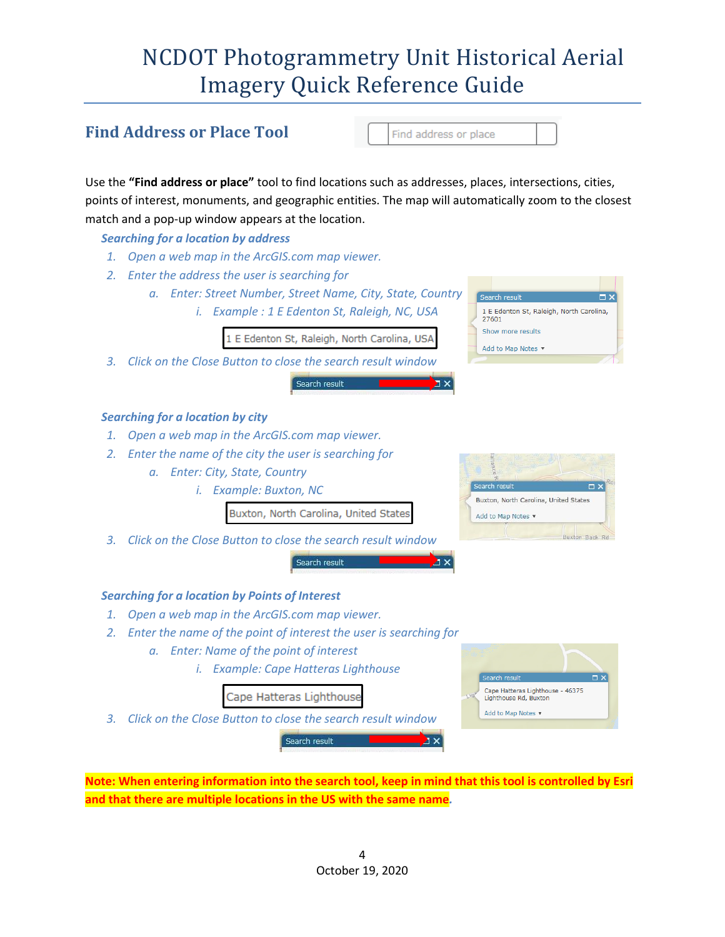### **Find Address or Place Tool** Find address or place Use the **"Find address or place"** tool to find locations such as addresses, places, intersections, cities, points of interest, monuments, and geographic entities. The map will automatically zoom to the closest match and a pop-up window appears at the location. *Searching for a location by address 1. Open a web map in the ArcGIS.com map viewer. 2. Enter the address the user is searching for a. Enter: Street Number, Street Name, City, State, Country i. Example : 1 E Edenton St, Raleigh, NC, USA* 1 E Edenton St, Raleigh, North Carolina, 27601 Show more results 1 E Edenton St, Raleigh, North Carolina, USA Add to Map Notes *3. Click on the Close Button to close the search result window* Search result *Searching for a location by city 1. Open a web map in the ArcGIS.com map viewer. 2. Enter the name of the city the user is searching for a. Enter: City, State, Country i. Example: Buxton, NC* Buxton, North Carolina, United States Buxton, North Carolina, United States Add to Map Notes Buxton Back Ro *3. Click on the Close Button to close the search result window* Search result *Searching for a location by Points of Interest 1. Open a web map in the ArcGIS.com map viewer. 2. Enter the name of the point of interest the user is searching for a. Enter: Name of the point of interest i. Example: Cape Hatteras Lighthouse* Cape Hatteras Lighthouse - 46375 Cape Hatteras Lighthouse Lighthouse Rd, Buxton Add to Map Notes *3. Click on the Close Button to close the search result window* Search result **Note: When entering information into the search tool, keep in mind that this tool is controlled by Esri and that there are multiple locations in the US with the same name***.*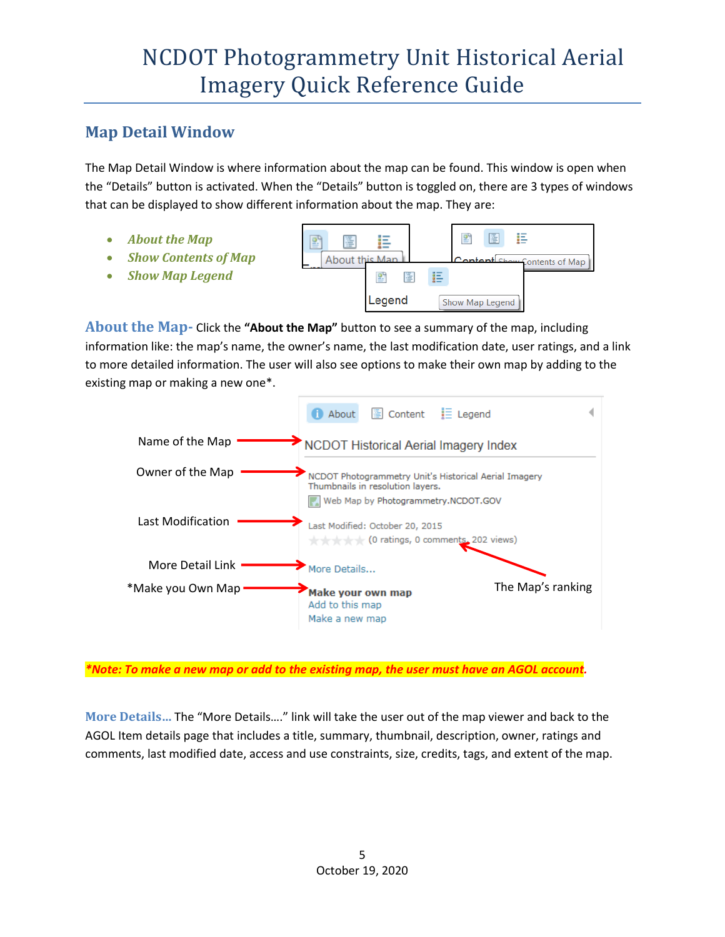### **Map Detail Window**

The Map Detail Window is where information about the map can be found. This window is open when the "Details" button is activated. When the "Details" button is toggled on, there are 3 types of windows that can be displayed to show different information about the map. They are:

- *About the Map*
- *Show Contents of Map*
- *Show Map Legend*



**About the Map-** Click the **"About the Map"** button to see a summary of the map, including information like: the map's name, the owner's name, the last modification date, user ratings, and a link to more detailed information. The user will also see options to make their own map by adding to the existing map or making a new one\*.



*\*Note: To make a new map or add to the existing map, the user must have an AGOL account.*

**More Details…** The "More Details…." link will take the user out of the map viewer and back to the AGOL Item details page that includes a title, summary, thumbnail, description, owner, ratings and comments, last modified date, access and use constraints, size, credits, tags, and extent of the map.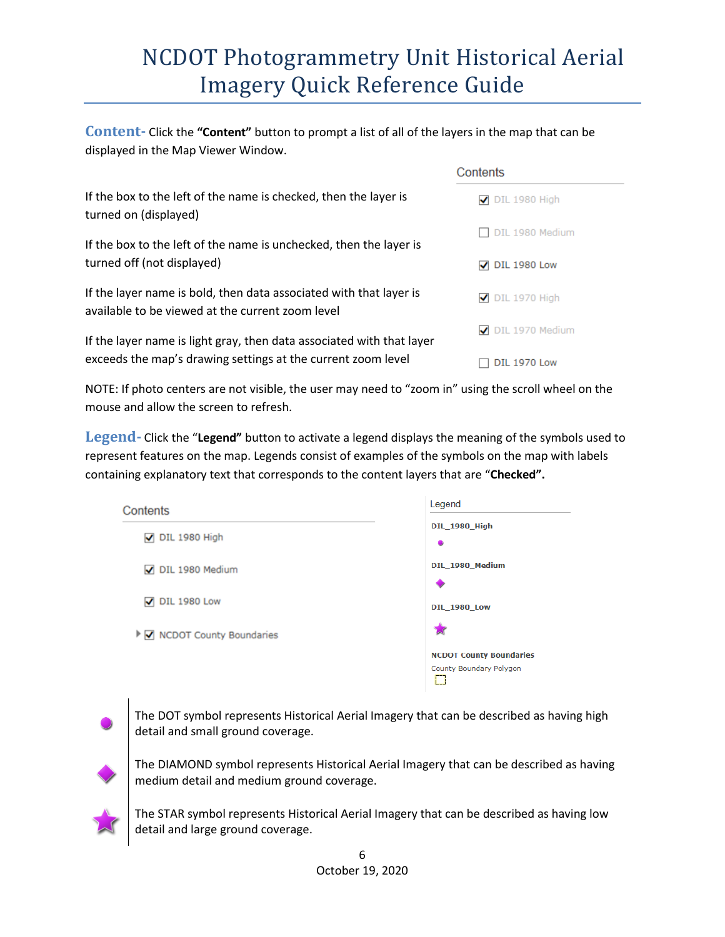**Content-** Click the **"Content"** button to prompt a list of all of the layers in the map that can be displayed in the Map Viewer Window.

|                                                                                                                        | Contents                |
|------------------------------------------------------------------------------------------------------------------------|-------------------------|
| If the box to the left of the name is checked, then the layer is<br>turned on (displayed)                              | $\nabla$ DIL 1980 High  |
| If the box to the left of the name is unchecked, then the layer is                                                     | DIL 1980 Medium         |
| turned off (not displayed)                                                                                             | $\sqrt{ }$ DIL 1980 Low |
| If the layer name is bold, then data associated with that layer is<br>available to be viewed at the current zoom level | $\nabla$ DIL 1970 High  |
| If the layer name is light gray, then data associated with that layer                                                  | DIL 1970 Medium         |
| exceeds the map's drawing settings at the current zoom level                                                           | <b>DIL 1970 Low</b>     |

NOTE: If photo centers are not visible, the user may need to "zoom in" using the scroll wheel on the mouse and allow the screen to refresh.

**Legend-** Click the "**Legend"** button to activate a legend displays the meaning of the symbols used to represent features on the map. Legends consist of examples of the symbols on the map with labels containing explanatory text that corresponds to the content layers that are "**Checked".**

| Contents                    | Legend                            |
|-----------------------------|-----------------------------------|
| $\sqrt{ }$ DIL 1980 High    | <b>DIL_1980_High</b><br>$\bullet$ |
| DIL 1980 Medium             | DIL_1980_Medium                   |
| $\sqrt{}$ DIL 1980 Low      | <b>DIL 1980 Low</b>               |
| ▶ Ø NCDOT County Boundaries |                                   |
|                             | <b>NCDOT County Boundaries</b>    |
|                             | County Boundary Polygon           |



The DOT symbol represents Historical Aerial Imagery that can be described as having high detail and small ground coverage.



The DIAMOND symbol represents Historical Aerial Imagery that can be described as having medium detail and medium ground coverage.



The STAR symbol represents Historical Aerial Imagery that can be described as having low detail and large ground coverage.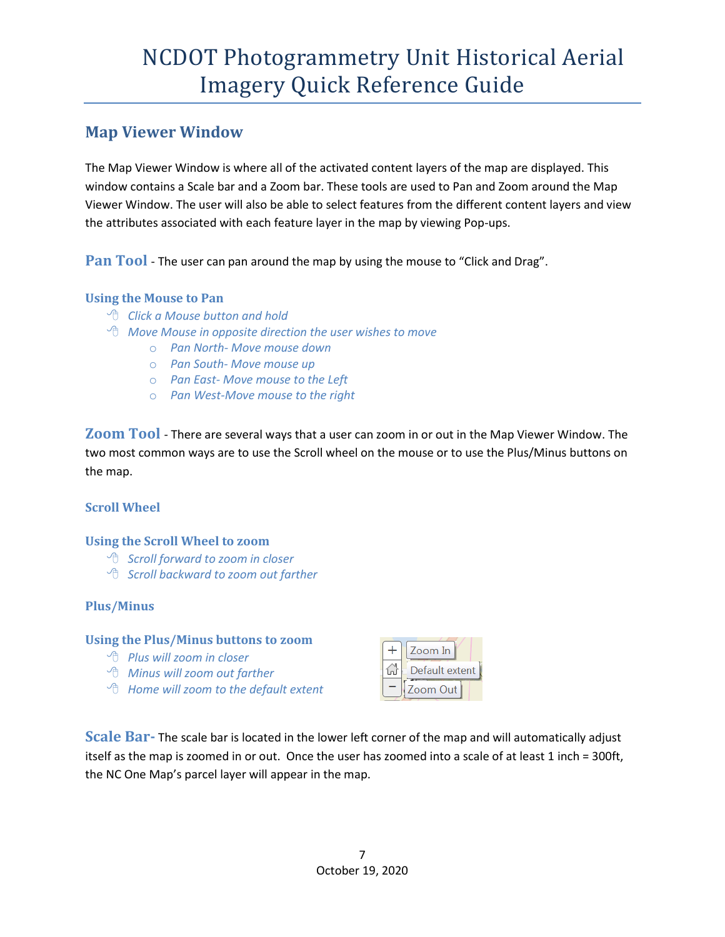### **Map Viewer Window**

The Map Viewer Window is where all of the activated content layers of the map are displayed. This window contains a Scale bar and a Zoom bar. These tools are used to Pan and Zoom around the Map Viewer Window. The user will also be able to select features from the different content layers and view the attributes associated with each feature layer in the map by viewing Pop-ups.

**Pan Tool** - The user can pan around the map by using the mouse to "Click and Drag".

#### **Using the Mouse to Pan**

- *Click a Mouse button and hold*
- *Move Mouse in opposite direction the user wishes to move*
	- o *Pan North- Move mouse down*
	- o *Pan South- Move mouse up*
	- o *Pan East- Move mouse to the Left*
	- o *Pan West-Move mouse to the right*

**Zoom Tool** - There are several ways that a user can zoom in or out in the Map Viewer Window. The two most common ways are to use the Scroll wheel on the mouse or to use the Plus/Minus buttons on the map.

#### **Scroll Wheel**

#### **Using the Scroll Wheel to zoom**

- *Scroll forward to zoom in closer*
- *Scroll backward to zoom out farther*

#### **Plus/Minus**

#### **Using the Plus/Minus buttons to zoom**

- *Plus will zoom in closer*
- *Minus will zoom out farther*
- *Home will zoom to the default extent*

| Zoom In        |  |
|----------------|--|
| Default extent |  |
| Zoom Out       |  |

**Scale Bar-** The scale bar is located in the lower left corner of the map and will automatically adjust itself as the map is zoomed in or out. Once the user has zoomed into a scale of at least 1 inch = 300ft, the NC One Map's parcel layer will appear in the map.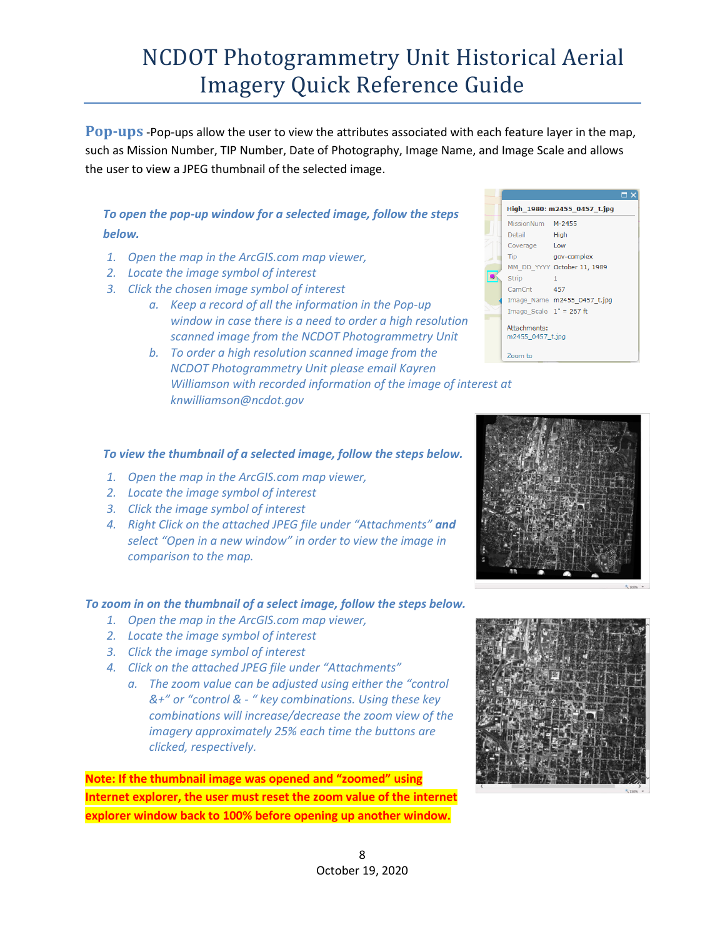**Pop-ups** -Pop-ups allow the user to view the attributes associated with each feature layer in the map, such as Mission Number, TIP Number, Date of Photography, Image Name, and Image Scale and allows the user to view a JPEG thumbnail of the selected image.

### *To open the pop-up window for a selected image, follow the steps below.*

- *1. Open the map in the ArcGIS.com map viewer,*
- *2. Locate the image symbol of interest*
- *3. Click the chosen image symbol of interest*
	- *a. Keep a record of all the information in the Pop-up window in case there is a need to order a high resolution scanned image from the NCDOT Photogrammetry Unit*
	- *b. To order a high resolution scanned image from the NCDOT Photogrammetry Unit please email Kayren Williamson with recorded information of the image of interest at knwilliamson@ncdot.gov*



#### *To view the thumbnail of a selected image, follow the steps below.*

- *1. Open the map in the ArcGIS.com map viewer,*
- *2. Locate the image symbol of interest*
- *3. Click the image symbol of interest*
- *4. Right Click on the attached JPEG file under "Attachments" and* select "Open in a new window" in order to view the image in *comparison to the map.*

#### *To zoom in on the thumbnail of a select image, follow the steps below.*

- *1. Open the map in the ArcGIS.com map viewer,*
- *2. Locate the image symbol of interest*
- *3. Click the image symbol of interest*
- *4. Click on the attached JPEG file under "Attachments"*
	- *a. The zoom value can be adjusted using either the "control &+" or "control & - " key combinations. Using these key combinations will increase/decrease the zoom view of the imagery approximately 25% each time the buttons are clicked, respectively.*

**Note: If the thumbnail image was opened and "zoomed" using Internet explorer, the user must reset the zoom value of the internet explorer window back to 100% before opening up another window.** 



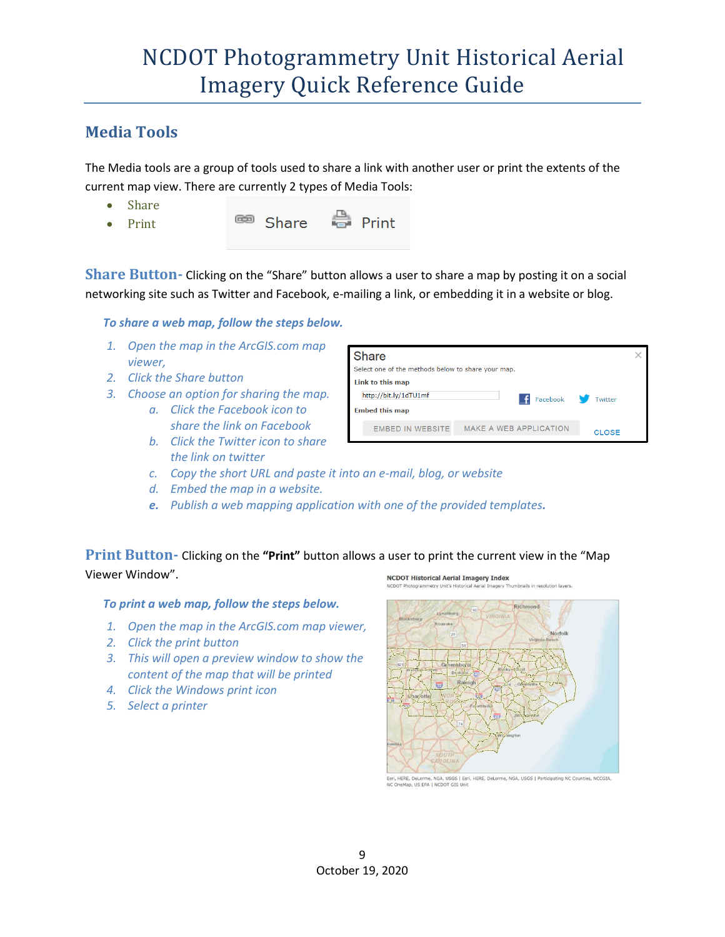### **Media Tools**

The Media tools are a group of tools used to share a link with another user or print the extents of the current map view. There are currently 2 types of Media Tools:

- Share
- Print
- <sup>©</sup> Share
- **●** Print

**Share Button-** Clicking on the "Share" button allows a user to share a map by posting it on a social networking site such as Twitter and Facebook, e-mailing a link, or embedding it in a website or blog.

Share

Link to this map http://bit.lv/1dTU1mf

#### *To share a web map, follow the steps below.*

- *1. Open the map in the ArcGIS.com map viewer,*
- *2. Click the Share button*
- *3. Choose an option for sharing the map.* 
	- *a. Click the Facebook icon to share the link on Facebook*
	- *b. Click the Twitter icon to share the link on twitter*



Select one of the methods below to share your map.

- *c. Copy the short URL and paste it into an e-mail, blog, or website*
- *d. Embed the map in a website.*
- *e. Publish a web mapping application with one of the provided templates.*

#### **Print Button-** Clicking on the **"Print"** button allows a user to print the current view in the "Map Viewer Window". **NCDOT Historical Aerial Imagery Index**

#### *To print a web map, follow the steps below.*

- *1. Open the map in the ArcGIS.com map viewer,*
- *2. Click the print button*
- *3. This will open a preview window to show the content of the map that will be printed*
- *4. Click the Windows print icon*
- *5. Select a printer*



 $\left| \cdot \right|$  Facebook

Twitter

Esri, HERE, DeLorme, NGA, USGS | Esri, HERE, DeLorme, NGA, USGS | Participating NC Counties, NCCGIA<br>NC OneMap, US EPA | NCDOT GIS Unit